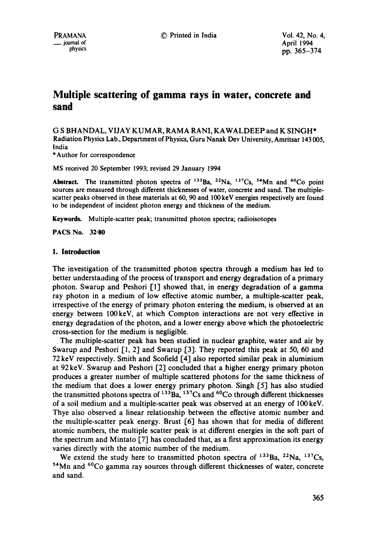# **Multiple scattering of gamma rays in water, concrete and sand**

G S BHANDAL, VIJAY KUMAR, RAMA RANI, KAWALDEEP and K SINGH\* Radiation Physics Lab., Department of Physics, Guru Nanak Dev University, Amritsar 143 005, India

\*Author for correspondence

MS received 20 September 1993; revised 29 January 1994

Abstract. The transmitted photon spectra of  $^{133}$ Ba,  $^{22}$ Na,  $^{137}$ Cs,  $^{54}$ Mn and  $^{60}$ Co point sources are measured through different thicknesses of water, concrete and sand. The multiplescatter peaks observed in these materials at 60, 90 and 100keV energies respectively are found to be independent of incident photon energy and thickness of the medium.

Keywords. Multiple-scatter peak; transmitted photon spectra; radioisotopes

**PACS No. 32"80** 

#### **1. Introduction**

The investigation of the transmitted photon spectra through a medium has led to better understaiading of the process of transport and energy degradation of a primary photon. Swarup and Peshori [1] showed that, in energy degradation of a gamma ray photon in a medium of low effective atomic number, a multiple-scatter peak, irrespective of the energy of primary photon entering the medium, is observed at an energy between 100keV, at which Compton interactions are not very effective in energy degradation of the photon, and a lower energy above which the photoelectric cross-section for the medium is negligible.

The multiple-scatter peak has been studied in nuclear graphite, water and air by Swarup and Peshori [1, 2] and Swarup [3]. They reported this peak at 50, 60 and 72 keV respectively. Smith and Scofield  $\lceil 4 \rceil$  also reported similar peak in aluminium at 92 keV. Swarup and Peshori [2] concluded that a higher energy primary photon produces a greater number of multiple scattered photons for the same thickness of the medium that does a lower energy primary photon. Singh [5] has also studied the transmitted photons spectra of  $^{133}$ Ba,  $^{137}$ Cs and  $^{60}$ Co through different thicknesses of a soil medium and a multiple-scatter peak was observed at an energy of 100keV. Thye also observed a linear relationship between the effective atomic number and the multiple-scatter peak energy. Brust [6] has shown that for media of different atomic numbers, the multiple scatter peak is at different energies in the soft part of the spectrum and Mintato [7] has concluded that, as a first approximation its energy varies directly with the atomic number of the medium.

We extend the study here to transmitted photon spectra of  $^{133}$ Ba,  $^{22}$ Na,  $^{137}Cs$ , 54Mn and 6°Co gamma ray sources through different thicknesses of water, concrete and sand.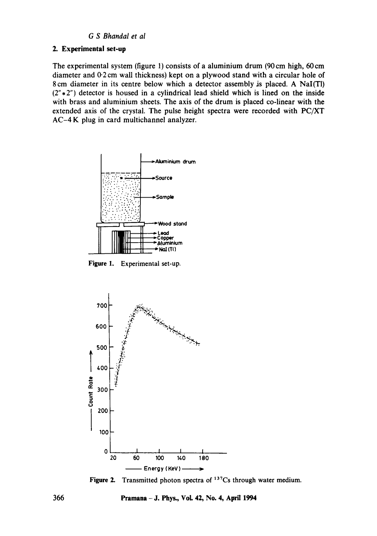### *G S Bhandal et al*

#### 2. Experimental set-up

The experimental system (figure 1) consists of a aluminium drum (90cm high, 60cm diameter and 0.2 cm wall thickness) kept on a plywood stand with a circular hole of 8cm diameter in its centre below which a detector assembly is placed. A NaI(TI)  $(2" * 2")$  detector is housed in a cylindrical lead shield which is lined on the inside with brass and aluminium sheets. The axis of the drum is placed co-linear with the extended axis of the crystal. The pulse height spectra were recorded with PC/XT AC-4 K plug in card multichannel analyzer.



Figure 1. Experimental set-up.



Figure 2. Transmitted photon spectra of 137Cs through water medium.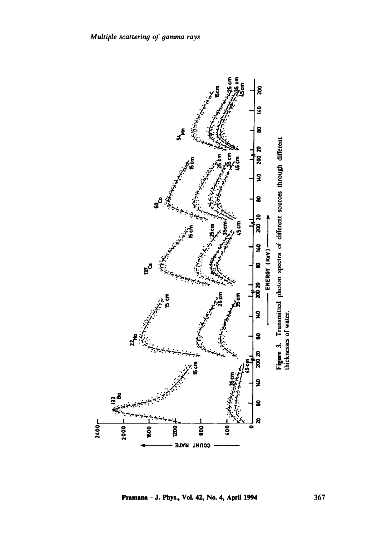

Pramana - J. Phys., Vol. 42, No. 4, April 1994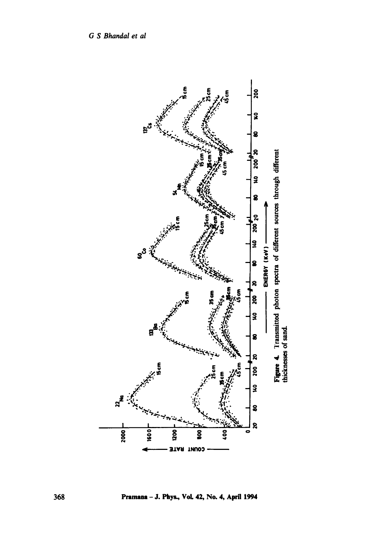

Pramana - J. Phys., Vol. 42, No. 4, April 1994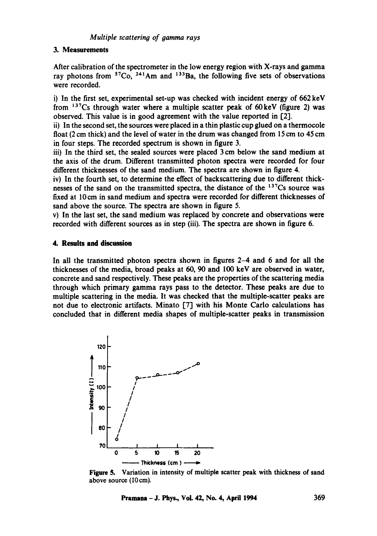#### 3. **Measurements**

After calibration of the spectrometer in the low energy region with X-rays and gamma ray photons from  $57Co$ ,  $241Am$  and  $133Ba$ , the following five sets of observations were recorded.

i) In the first set, experimental set-up was checked with incident energy of 662 keV from  $137Cs$  through water where a multiple scatter peak of 60 keV (figure 2) was observed. This value is in good agreement with the value reported in [2].

ii) In the second set, the sources were placed in a thin plastic cup glued on a thermocole float (2 cm thick) and the level of water in the drum was changed from 15 cm to 45 cm in four steps. The recorded spectrum is shown in figure 3.

iii) In the third set, the sealed sources were placed 3 cm below the sand medium at the axis of the drum. Different transmitted photon spectra were recorded for four different thicknesses of the sand medium. The spectra are shown in figure 4.

iv) In the fourth set, to determine the effect of backscattering due to different thicknesses of the sand on the transmitted spectra, the distance of the  $137Cs$  source was fixed at 10cm in sand medium and spectra were recorded for different thicknesses of sand above the source. The spectra are shown in figure 5.

v) In the last set, the sand medium was replaced by concrete and observations were recorded with different sources as in step (iii). The spectra are shown in figure 6.

### **4. Results and discussion**

In all the transmitted photon spectra shown in figures 2-4 and 6 and for all the thicknesses of the media, broad peaks at 60, 90 and 100 keV are observed in water, concrete and sand respectively. These peaks are the properties of the scattering media through which primary gamma rays pass to the detector. These peaks are due to multiple scattering in the media. It was checked that the multiple-scatter peaks are not due to electronic artifacts. Minato [7] with his Monte Carlo calculations has concluded that in different media shapes of multiple-scatter peaks in transmission



**Figure 5.** Variation in intensity of multiple scatter peak with thickness of sand above source (10cm).

**Pramana -J. Phys., Vol. 42, No. 4, April 1994 369**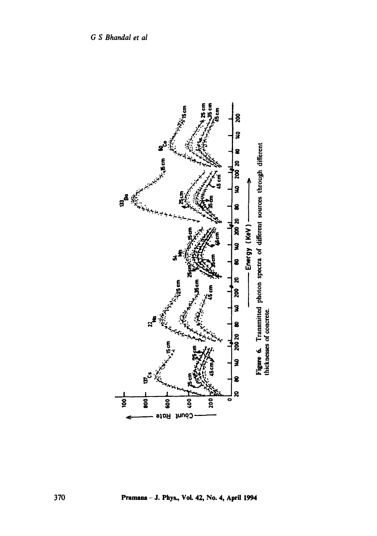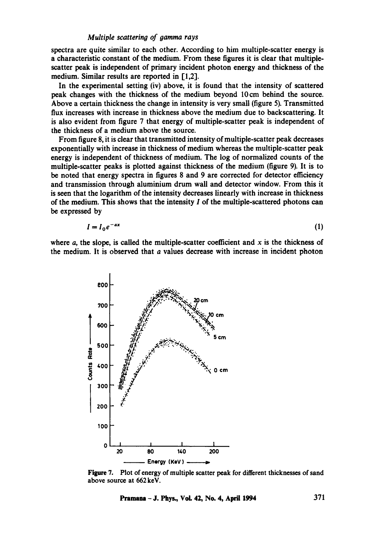#### *Multiple scattering of gamma rays*

spectra are quite similar to each other. According to him multiple-scatter energy is a characteristic constant of the medium. From these figures it is clear that multiplescatter peak is independent of primary incident photon energy and thickness of the medium. Similar results are reported in [1,2].

In the experimental setting (iv) above, it is found that the intensity of scattered peak changes with the thickness of the medium beyond 10cm behind the source. Above a certain thickness the change in intensity is very small (figure 5). Transmitted flux increases with increase in thickness above the medium due to backscattering. It is also evident from figure 7 that energy of multiple-scatter peak is independent of the thickness of a medium above the source.

From figure 8, it is clear that transmitted intensity of multiple-scatter peak decreases exponentially with increase in thickness of medium whereas the multiple-scatter peak energy is independent of thickness of medium. The log of normalized counts of the multiple-scatter peaks is plotted against thickness of the medium (figure 9). It is to be noted that energy spectra in figures 8 and 9 are corrected for detector efficiency and transmission through aluminium drum wall and detector window. From this it is seen that the logarithm of the intensity decreases linearly with increase in thickness of the medium. This shows that the intensity  $I$  of the multiple-scattered photons can be expressed by

$$
I = I_0 e^{-ax} \tag{1}
$$

where  $a$ , the slope, is called the multiple-scatter coefficient and  $x$  is the thickness of the medium. It is observed that  $a$  values decrease with increase in incident photon



Figure 7. Plot of energy of multiple scatter peak for different thicknesses of sand above source at 662 keV.

**Pramana** - J. Phys., Vol. 42, No. 4, April 1994  $371$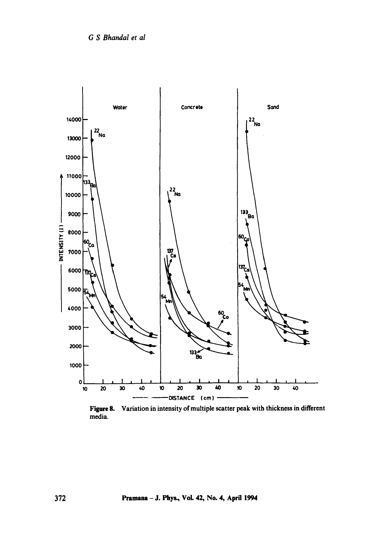

Variation in intensity of multiple scatter peak with thickness in different Figure 8. media.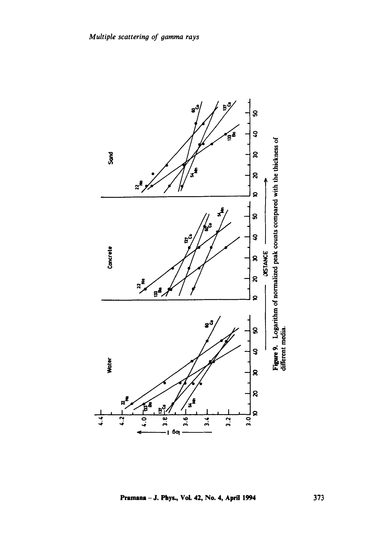

Pramana - J. Phys., Vol. 42, No. 4, April 1994